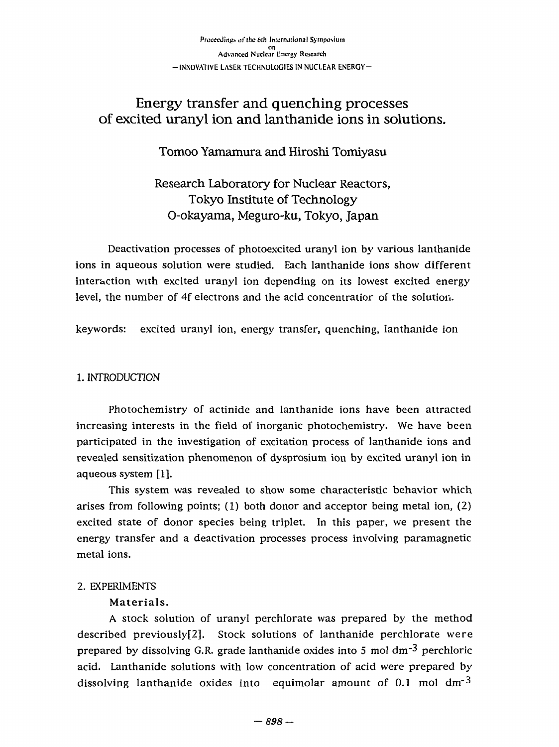# Energy transfer and quenching processes Energy transfer and q uenching processes of excited uranyl ion and lanthanide ions in solutions. of excited uranyl ion and lanthanide ions in solutions.

Tomoo Yamamura and Hiroshi Tomiyasu

Research Laboratory for Nuclear Reactors, Tokyo Institute of Technology Tokyo Institute of Technology O-okayama, Meguro-ku, Tokyo, Japan O-okayama, Meguro-ku, Tokyo, Japan

Deactivation processes of photoexcited uranyl ion by various lanthanide Deactivation processes of photoexcited uranyl ion by various lanthanide ions in aqueous solution were studied. Each lanthanide ions show different interaction with excited uranyl ion depending on its lowest excited energy level, the number of 4f electrons and the acid concentratior of the solution.

keywords: excited uranyl ion, energy transfer, quenching, lanthanide ion keywords: excited uranyl ion, energy transfer, quenching, lanthanide ion

## 1. INTRODUCTION 1. INTRODUCTION

Photochemistry of actinide and lanthanide ions have been attracted Photochemistry of actinide and lanthanide ions have been attracted increasing interests in the field of inorganic photochemistry. We have been increasing interests in the field of inorganic photochemistry. We have been participated in the investigation of excitation process of lanthanide ions and participated in the investigation of excitation process of lanthanide ions and revealed sensitization phenomenon of dysprosium ion by excited uranyl ion in revealed sensitization phenomenon of dysprosium ion by excited uranyl ion in aqueous system [1]. aqueous system [1].

This system was revealed to show some characteristic behavior which This system was revealed to show some characteristic behavior which arises from following points; (1) both donor and acceptor being metal ion, (2) arises from following points; (1) both donor and acceptor being meta1 ion, (2) excited state of donor species being triplet. In this paper, we present the excited state of donor species being triplet. In this paper, we present the energy transfer and a deactivation processes process involving paramagnetic energy transfer and a deactivation processes process involving paramagnetic metal ions. metal ions.

# 2. EXPERIMENTS 2. EXPERIMENTS

# Materials. Materials.

A stock solution of uranyl perchlorate was prepared by the method A stock solution of uranyl perchlorate was prepared by the method described previously[2]. Stock solutions of lanthanide perchlorate were prepared by dissolving G.R. grade lanthanide oxides into 5 mol dm<sup>-3</sup> perchloric acid. Lanthanide solutions with low concentration of acid were prepared by acid. Lanthanide solutions with low concentration of acid were prepared by dissolving lanthanide oxides into equimolar amount of 0.1 mol  $\rm{d}m\rm{^{-3}}$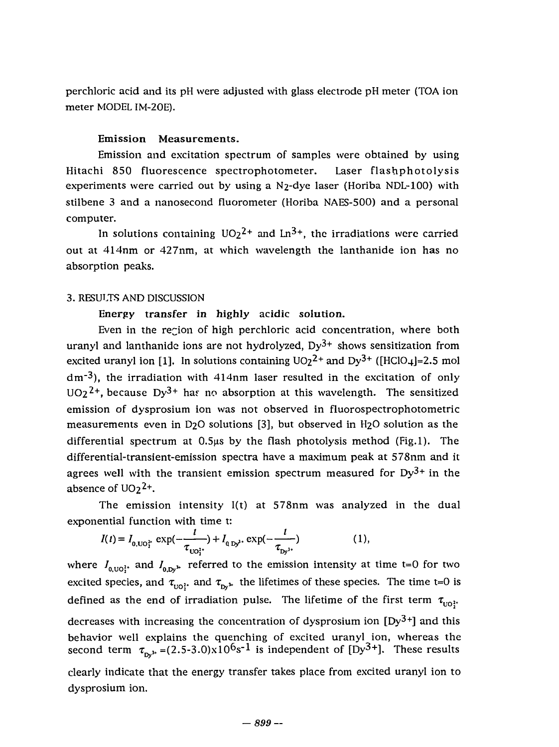perchloric acid and its pH were adjusted with glass electrode pH meter (TOA ion perchloric acid and its pH were adjusted with glass electrode pH meter (TOA ion meter MODEL IM-20E). meter MODEL IM-20E).

### **Emission Measurements.**  Emission Measurcments.

Emission and excitation spectrum of samples were obtained by using Emission and excitation spectrum of samples were obtained by using Hitachi 850 fluorescence spectrophotometer. Laser flashphotolysis Hitachi 850 fluorescence spectrophotometer. Laser flasbphotolysis experiments were carried out by using a N<sub>2</sub>-dye laser (Horiba NDL-100) with stilbene 3 and a nanosecond fluorometer (Horiba NAES-500) and a personal computer. computer.

In solutions containing  $UO_2^2$  and  $Ln^3$ , the irradiations were carried out at 414nm or 427nm, at which wavelength the lanthanide ion h<mark>a</mark>s no absorption peaks. absorption peaks.

#### 3. RESULTS AND DISCUSSION 3. RESUtTS AND DISCUSSION

### Energy transfer in highly acidic solution.

Even in the region of high perchloric acid concentration, where both uranyl and lanthanide ions are not hydrolyzed, Dy<sup>3+</sup> shows sensitization from excited uranyl ion [1]. In solutions containing  $UO_2^2$  and  $Dy^{3+}$  ([HClO<sub>4</sub>]=2.5 mol dm<sup>-3</sup>), the irradiation with 414nm laser resulted in the excitation of only UO2<sup>2+</sup>, because Dy<sup>3+</sup> has no absorption at this wavelength. The sensitized emission of dysprosium ion was not observed in fluorospectrophotometric emission of dysprosium ion was not observed in fluorospectrophotometric measurements even in D2O solutions [3], but observed in H2O solution as the differential spectrum at 0.5^s by the flash photolysis method (Fig.l). The differential spectrum at 0.5μs by the flash photolysis method (Fig.l). The differential-transient-emission spectra have a maximum peak at 578nm and it agrees well with the transient emission spectrum measured for  $Dy^{3+}$  in the absence of  $UO_2^2$ <sup>+</sup>.

The emission intensity I(t) at 578nm was analyzed in the dual The emission intensity I(t) at 578nm was analyzed in the dual

exponential function with time t:  
\n
$$
I(t) = I_{0, UO_1^{2*}} \exp(-\frac{t}{\tau_{UO_1^{2*}}}) + I_{0, Dy^1} \exp(-\frac{t}{\tau_{Dy^1}})
$$
\n(1),  
\nwhere  $I_{0, UO_1^{2*}}$  and  $I_{0, Dy^1}$  referred to the emission intensity at time t=0 for two

excited species, and  $\tau_{\text{tot}}$  and  $\tau_{\text{bw}}$  the lifetimes of these species. The time t=0 is defined as the end of irradiation pulse. The lifetime of the first term  $\tau_{\text{u0}}$ <sup>1</sup>. decreases with increasing the concentration of dysprosium ion [Dy<sup>3+</sup>] and this behavior well explains the quenching of excited uranyl ion, whereas the second term  $\tau_{n,k} = (2.5-3.0)x10^6s^{-1}$  is independent of  $[Dy^3+]$ . These results clearly indicate that the energy transfer takes place from excited uranyl ion to clearly indicate that the energy transfer takes place from excited uranyl ion to dysprosium ion. dysprosium ion.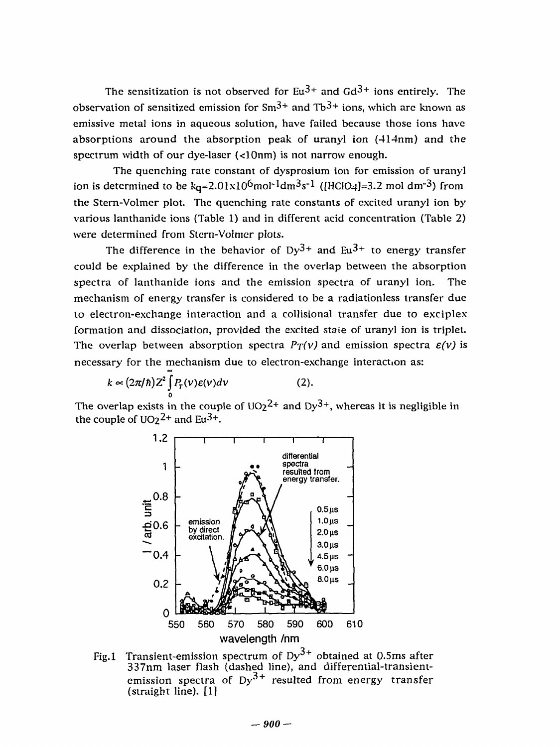The sensitization is not observed for Eu<sup>3+</sup> and Gd<sup>3+</sup> ions entirely. The observation of sensitized emission for Sm $3+$  and Tb $3+$  ions, which are known as emissive metal ions in aqueous solution, have failed because those ions have absorptions around the absorption peak of uranyl ion (414nm) and the absorptions around the absorption peak of uranyl Ion (斗14nm) and the spectrum width of our dye-laser (<10nm) is not narrow enough. spectrum width of our dye-laser (<10nm) is not narrow enough.

The quenching rale constant of dysprosium ion for emission of uranyl The quenching rate constant of dysprosium ion for emission of uranyl ion is determined to be k<sub>q</sub>=2.01x10<sup>6</sup>mol<sup>-1</sup>dm<sup>3</sup>s<sup>-1</sup> ([HClO4]=3.2 mol dm<sup>-3</sup>) from the Stern-Volmer plot. The quenching rate constants of excited uranyl ion by the Stern-Volmer plot. The quenching rate constants of cxcited uranyI ion by various lanthanide ions (Table 1) and in different acid concentration (Table 2) various lanthanide ions (Table 1) and in different acid concentration (Table 2) were determined from Stern-Volmer plots.

The difference in the behavior of Dy $3+$  and Eu $3+$  to energy transfer could be explained by the difference in the overlap between the absorption could be explained by the difference in the overlap between the absorption spectra of lanthanide ions and the emission spectra of uranyl ion. The spectra of lanthanide ions and the emission spectra of uranyl ion. The mechanism of energy transfer is considered to be a radiationless transfer due mechanism of energy transfer is considered to be a radiationless transfer due to electron-exchange interaction and a collisional transfer due to exciplex to electron-exchange interaction and a collisional transfer due to exciplex formation and dissociation, provided the excited staie of uranyl ion is triplet. formation and dissociation, provided the cxcited staie of uranyl ion is triplet. The overlap between absorption spectra  $P_T(v)$  and emission spectra  $\varepsilon(v)$  is necessary for the mechanism due to electron-exchange interaction as: necessary for the mechanism due to electron-exchange interactlon as:

$$
k \propto (2\pi/\hbar) Z^2 \int_0^{\infty} P_T(v) \varepsilon(v) dv \qquad (2).
$$

The overlap exists in the couple of UO2<sup>2+</sup> and Dy<sup>3+</sup>, whereas it is negligible in the couple of  $UO_2^2$  and  $Eu^{3+}$ .



Fig.1 Transient-emission spectrum of  $Dy^{5+}$  obtained at 0.5ms after 337nm laser flash (dashed line), and differential-transientemission spectra of Dy<sup>5+</sup> resulted from energy transfer (straight line). [1] (straight line). [1] Fig.1 Transient-emission spectrum of Dy<sup>3+</sup> obtained at 0.5ms after 337nm laser flash (dashed line), and differential-transientemission spectra of Dy $^{3+}$  resulted from energy transfer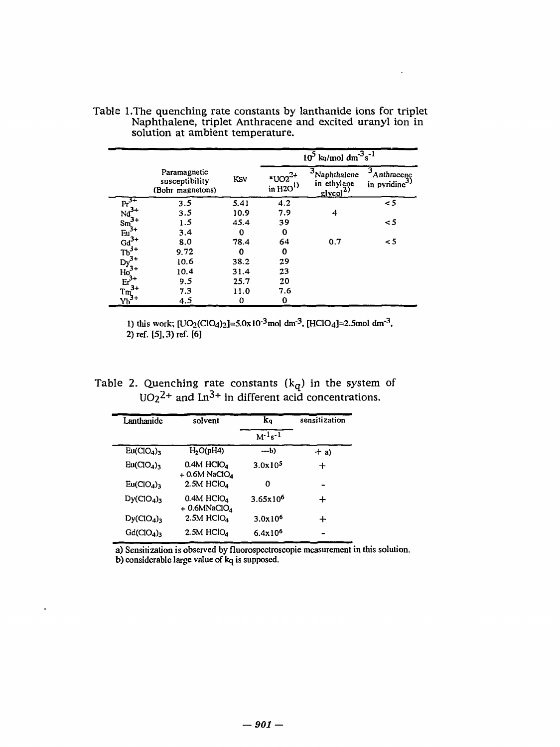|                                                                                                                                   |                                                    |      | $10^5$ kq/mol $\text{dm}^{-3} \text{s}^{-1}$ |                                                                       |                                      |  |
|-----------------------------------------------------------------------------------------------------------------------------------|----------------------------------------------------|------|----------------------------------------------|-----------------------------------------------------------------------|--------------------------------------|--|
|                                                                                                                                   | Paramagnetic<br>susceptibility<br>(Bohr magnetons) | KSV  | $*UO2^{2+}$<br>in $H2O1$                     | Naphthalene<br>in ethylene<br>$\frac{\text{glycol}^2}{\text{glycol}}$ | 3<br>Anthracene<br>in pyridine $3$ ) |  |
| $Pr_{i}^{3+}$                                                                                                                     | 3.5                                                | 5.41 | 4.2                                          |                                                                       | $\leq$ 5                             |  |
|                                                                                                                                   | 3.5                                                | 10.9 | 7.9                                          | 4                                                                     |                                      |  |
|                                                                                                                                   | 1.5                                                | 45.4 | 39                                           |                                                                       | $\leq$ 5                             |  |
|                                                                                                                                   | 3.4                                                | 0    | 0                                            |                                                                       |                                      |  |
|                                                                                                                                   | 8.0                                                | 78.4 | 64                                           | 0.7                                                                   | $\leq$ 5                             |  |
|                                                                                                                                   | 9.72                                               | 0    | 0                                            |                                                                       |                                      |  |
|                                                                                                                                   | 10.6                                               | 38.2 | 29                                           |                                                                       |                                      |  |
|                                                                                                                                   | 10.4                                               | 31.4 | 23                                           |                                                                       |                                      |  |
| $Nd^{3+}$<br>Sm <sup>3+</sup><br>Eu <sup>3+</sup><br>Eu <sup>4+</sup><br>Dy <sup>3+</sup><br>Ho <sup>3+</sup><br>Ho <sup>3+</sup> | 9.5                                                | 25.7 | 20                                           |                                                                       |                                      |  |
| $3+$                                                                                                                              | 7.3                                                | 11.0 | 7.6                                          |                                                                       |                                      |  |
| $Tm^{3+}$<br>$Yb^{3+}$                                                                                                            | 4.5                                                | 0    | 0                                            |                                                                       |                                      |  |

Table l.The quenching rate constants by lanthanide ions for triplet Naphthalene, triplet Anthracene and excited uranyl ion in solution at ambient temperature. Table l.The quenching rate constants by lanthanide ions for triplet Naphthalene, triplet Anthracene and excited uranyl ion in solution at ambient temperature.

 $\ddot{\phantom{1}}$ 

1) this work;  $[UO_2(CIO_4)_2] = 5.0x10^{-3}$ moldm<sup>-3</sup>,  $[HClO_4] = 2.5$ moldm<sup>-3</sup>, 2) ref. [5], 3) ref. [6]

Table 2. Quenching rate constants  $(k_q)$  in the system of UO<sub>2</sub><sup>2+</sup> and Ln<sup>3+</sup> in different acid concentrations. Table 2. Quenching rate constants  $(k_q)$  in the system of  $UO_2^2$ <sup>+</sup> and Ln<sup>3+</sup> in different acid concentrations.

| Lanthanide                         | solvent                                                 | ka                  | sensitization |  |
|------------------------------------|---------------------------------------------------------|---------------------|---------------|--|
|                                    |                                                         | $M^{-1}s^{-1}$      |               |  |
| Eu(CIO <sub>4</sub> ) <sub>3</sub> | H <sub>2</sub> O(pH4)                                   | $-b$                | $+ a$         |  |
| Eu(CIO <sub>4</sub> ) <sub>3</sub> | $0.4M$ HClO <sub>4</sub><br>$+$ 0.6M NaClO <sub>4</sub> | 3.0x10 <sup>5</sup> |               |  |
| Eu(CIO <sub>4</sub> ) <sub>3</sub> | $2.5M$ HClO <sub>4</sub>                                | Ω                   |               |  |
| Dy(CIO <sub>4</sub> )              | $0.4M$ HClO <sub>4</sub><br>$+$ 0.6MNaClO <sub>1</sub>  | $3.65x10^{6}$       | ┿             |  |
| Dy(CIO <sub>4</sub> ) <sub>3</sub> | $2.5M$ HClO <sub>4</sub>                                | 3.0x10 <sup>6</sup> | ┿             |  |
| Gd(CIO <sub>4</sub> )              | $2.5M$ HClO <sub>4</sub>                                | 6.4x10 <sup>6</sup> |               |  |

 $\bullet$ 

a) Sensitization is observed by fluorospectroscopie measurement in this solution. b) considerable large value of kq is supposed. a) Sensitization is observed by fluorospectroscopie measurement in this solution. considerable large value of kq is supposed.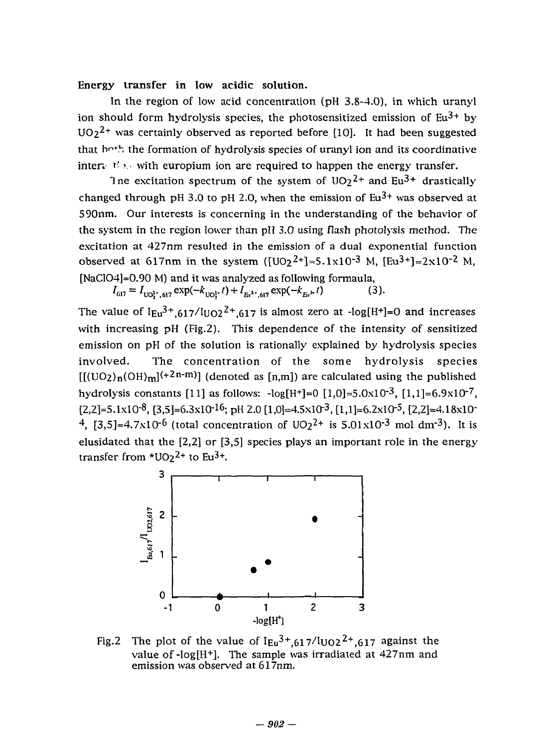**Energy transfer in low acidic solution.**  lergy transfer in low acidic solution.

In the region of low acid concentration (pH 3.8-4.0), in which uranyl ion should form hydrolysis species, the photosensitized emission of  $Eu^{3+}$  by  $UO_2^2$ <sup>+</sup> was certainly observed as reported before [10]. It had been suggested that hoth the formation of hydrolysis species of uranyl ion and its coordinative inter $\psi$  the with europium ion are required to happen the energy transfer.

The excitation spectrum of the system of  $\mathrm{UO2}^{2+}$  and  $\mathrm{Eu^{3+}}$  drastically changed through pH 3.0 to pH 2.0, when the emission of  $Eu^{3+}$  was observed at 590nm. Our interests is concerning in the understanding of the behavior of S90nm. Our interests is concerning in the understanding of the behavior of the system in the region lower than pH 3.0 using flash photolysis method. The excitation at 427nm resulted in the emission of a dual exponential function observed at 617nm in the system  $([UO_2^2+] = 5.1 \times 10^{-3}$  M,  $[Eu^{3+}] = 2 \times 10^{-2}$  M, [NaClO4]= $0.90$  M) and it was analyzed as following formaula,

 $I_{617} = I_{UO_1^{1*}, 617} \exp(-k_{UO_1^{1*}} t) + I_{E_t^{1*}, 617} \exp(-k_{E_t^{1*}} t)$  (3).

The value of  $I_{Eu}^{3+}$ ,  $617/I_{UO2}^{2+}$ ,  $617$  is almost zero at -log[H+]=0 and increases with increasing pH (Fig.2). This dependence of the intensity of sensitized with increasing pH (Fig.2). This dependence of the intensity of sensitized emission on pH of the solution is rationally explained by hydrolysis species involved. The concentration of the some hydrolysis species  $[[(UO_2)_n(OH)_m]^{(+2n-m)}]$  (denoted as [n,m]) are calculated using the published hydrolysis constants [11] as follows:  $-\log[H^+] = 0$  [1,0]=5.0x10<sup>-3</sup>, [1,1]=6.9x10<sup>-7</sup>,  $[2,2]=5.1x10^{-8}$ ,  $[3,5]=6.3x10^{-16}$ ; pH 2.0  $[1,0]=4.5x10^{-3}$ ,  $[1,1]=6.2x10^{-5}$ ,  $[2,2]=4.18x10^{-5}$ <sup>4</sup>, [3,5]=4.7x10<sup>-6</sup> (total concentration of UO<sub>2</sub><sup>2+</sup> is 5.01x10<sup>-3</sup> mol dm<sup>-3</sup>). It is elusidated that the  $[2,2]$  or  $[3,5]$  species plays an important role in the energy transfer from  $*UO_2^2$  to Eu<sup>3+</sup>.



Fig.2 The plot of the value of  $I_{Eu}^{3+}$ ,  $617/I_{UO2}^{2+}$ ,  $617$  against the value of-log[H<sup>+</sup> ]. The sample was irradiated at 427nm and value of -log[H+]. The sample was irradiated at 427nm and emission was observed at 617nm.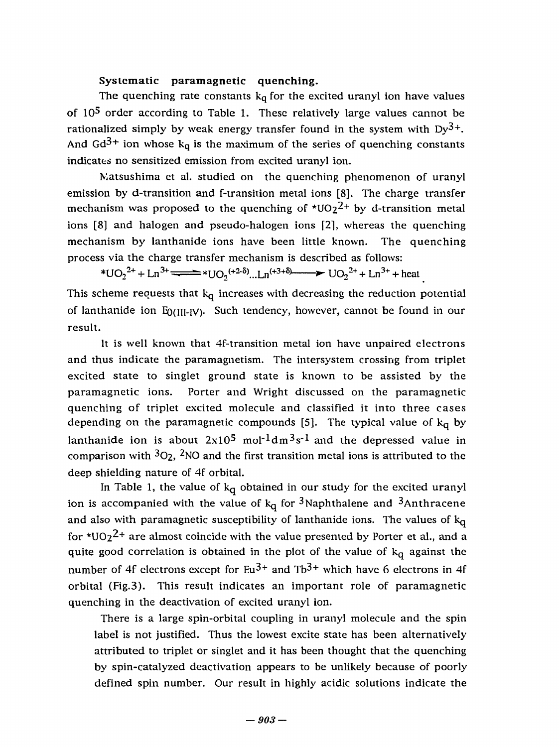### **Systematic paramagnetic quenching.**  Systematic paramagnetic quenching.

The quenching rate constants  $k_q$  for the excited uranyl ion have values of 10<sup>5</sup> order according to Table 1. These relatively large values cannot be rationalized simply by weak energy transfer found in the system with Dy<sup>3+</sup>. And Gd<sup>3+</sup> ion whose k<sub>q</sub> is the maximum of the series of quenching constants indicates no sensitized emission from excited uranyl ion.

Matsushima et al. studied on the quenching phenomenon of uranyl emission by d-transition and f-transition metal ions [8]. The charge transfer emission by d-transition and f-transition metal ions [8]. The charge transfer mechanism was proposed to the quenching of  $\text{*}UO_2^2$ + by d-transition metal ions [8] and halogen and pseudo-halogen ions [2], whereas the quenching ions [8) and halogen and pseudo-halogen ions [2), whereas the quenching mechanism by lanthanide ions have been little known. The quenching mechanism by lanthanide ions have been little known. The quenching process via the charge transfer mechanism is described as follows: process via the charge transfer mechanism is described as fo11ows:

\*UO<sub>2</sub><sup>2+</sup> + Ln<sup>3+</sup>  $\leftarrow$  \*UO<sub>2</sub><sup>(+2-δ)</sup>…Ln<sup>(+3+δ</sup>)  $\rightarrow$  UO<sub>2</sub><sup>2+</sup> + Ln<sup>3+</sup> + heat

This scheme requests that k<sub>q</sub> increases with decreasing the reduction potential of lanthanide ion E<sub>0</sub>(III-IV). Such tendency, however, cannot be found in our result. result.

It is well known that 4f-transition metal ion have unpaired electrons and thus indicate the paramagnetism. The intersystem crossing from triplet and thus indicate the paramagnetism. The intersystem crossing from triplet excited state to singlet ground state is known to be assisted by the excited state to singlet ground state is known to be assisted by the paramagnetic ions. Porter and Wright discussed on the paramagnetic paramagnetic ions. Porter and Wright discussed on the paramagnetic quenching of triplet excited molecule and classified it into three cases depending on the paramagnetic compounds [5]. The typical value of  $k_q$  by lanthanide ion is about  $2x10^5$  mol<sup>-1</sup>dm<sup>3</sup>s<sup>-1</sup> and the depressed value in comparison with *^Oz,* ^NO and the first transition metal ions is attributed to the comparison with 302, 2NO and the first transition metal ions is attributed to the deep shielding nature of 4f orbital. deep shielding nature of 4f orbital.

In Table 1, the value of k<sub>q</sub> obtained in our study for the excited uranyl ion is accompanied with the value of  $k_q$  for <sup>3</sup>Naphthalene and <sup>3</sup>Anthracene and also with paramagnetic susceptibility of lanthanide ions. The values of  $\rm k_{\bf Q}$ for \*UO2 $^{2+}$  are almost coincide with the value presented by Porter et al., and a quite good correlation is obtained in the plot of the value of k<sub>q</sub> against the number of 4f electrons except for Eu $3^+$  and Tb $3^+$  which have 6 electrons in 4f orbital (Fig.3). This result indicates an important role of paramagnetic orbital (Fig.3). This result indicates an important role of paramagnetic quenching in the deactivation of excited uranyl ion. quenching in the deactivation of excited uranyl ion.

There is a large spin-orbital coupling in uranyl molecule and the spin There is a large spin-orbital coupling in uranyl molecule and the spin label is not justified. Thus the lowest excite state has been alternatively label is not justified. Thus the lowest excite state has been alternatively attributed to triplet or singlet and it has been thought that the quenching attributed to triplet or singlet and it has been thought that the quenching by spin-catalyzed deactivation appears to be unlikely because of poorly by spin-catalyzed deactivation appears to be unlikely because of poorly defined spin number. Our result in highly acidic solutions indicate the defined spin number. Our result in highly acidic solutions indicate the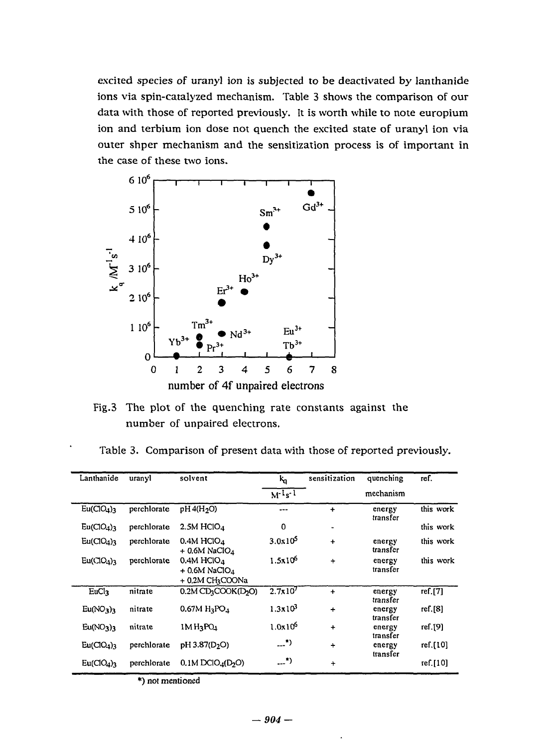excited species of uranyl ion is subjected to be deactivated by lanthanide excited species of uranyl ion is subjected to be deactivated by lanthanide ions via spin-catalyzed mechanism. Table 3 shows the comparison of our ions via spin-catalyzed mechanism. Table 3 shows the comparison of our data with those of reported previously. It is worth while to note europium data with those of reported previously. lt is worth whi1e to note europiurn ion and terbium ion dose not quench the excited state of uranyl ion via ion and terbium ion dose not quench the excited state of uranyl ion via outer shper mechanism and the sensitization process is of important in the case of these two ions.



Fig.3 The plot of the quenching rate constants against the Fig.3 The plot of the quenching rate constants against the number of unpaired electrons. number of unpaired electrons.

Table 3. Comparison of present data with those of reported previously. Table 3. Comparison of present data with those of reported previously.

| Lanthanide                         | uranyl      | solvent                                                 | $k_{\rm d}$            | sensitization | quenching          | ref.      |  |
|------------------------------------|-------------|---------------------------------------------------------|------------------------|---------------|--------------------|-----------|--|
|                                    |             |                                                         | $M^{-1}s^{-1}$         |               | mechanism          |           |  |
| Eu(CIO <sub>4</sub> ) <sub>3</sub> | perchlorate | pH 4(H <sub>2</sub> O)                                  | ---                    | $\ddot{}$     | energy<br>transfer | this work |  |
| Eu(CIO <sub>4</sub> ) <sub>3</sub> | perchlorate | $2.5M$ HClO $4$                                         | $\Omega$               | ٠             |                    | this work |  |
| Eu(CIO <sub>4</sub> ) <sub>3</sub> | perchlorate | $0.4M$ HClO <sub>4</sub><br>$+$ 0.6M NaClO <sub>4</sub> | $3.0x10^5$             | ٠             | energy<br>transfer | this work |  |
| Eu(CIO <sub>4</sub> ) <sub>3</sub> | perchlorate | $0.4M$ HClO <sub>4</sub><br>$+$ 0.6M NaClO <sub>4</sub> | $1.5x10^{6}$           | $\ddot{}$     | energy<br>transfer | this work |  |
|                                    |             | + 0.2M CH3COONa                                         |                        |               |                    |           |  |
| EuCl <sub>3</sub>                  | nitrate     | $0.2M$ CD <sub>3</sub> COOK(D <sub>2</sub> O)           | $2.7x10^7$             | $\ddot{}$     | energy<br>transfer | ref.[7]   |  |
| Eu(NO <sub>3</sub> ) <sub>3</sub>  | nitrate     | $0.67M H_3PO_4$                                         | $1.3x10^3$             | $\ddotmark$   | energy<br>transfer | ref.[8]   |  |
| Eu(NO <sub>3</sub> ) <sub>3</sub>  | nitrate     | $1M$ $H_3$ $PO_4$                                       | $1.0x10^{6}$           | $\ddot{}$     | energy<br>transfer | ref.[9]   |  |
| Eu(CIO <sub>4</sub> ) <sub>3</sub> | perchlorate | pH 3.87(D <sub>2</sub> O)                               | $\cdot$                | $\ddotmark$   | energy<br>transfer | ref.[10]  |  |
| Eu(CIO <sub>4</sub> ) <sub>3</sub> | perchlorate | 0.1M DClO <sub>4</sub> (D <sub>2</sub> O)               | $\cdot$ <sup>*</sup> ) | $\ddotmark$   |                    | ref.[10]  |  |
|                                    |             |                                                         |                        |               |                    |           |  |

\*) not mentioned \*) not mentioned